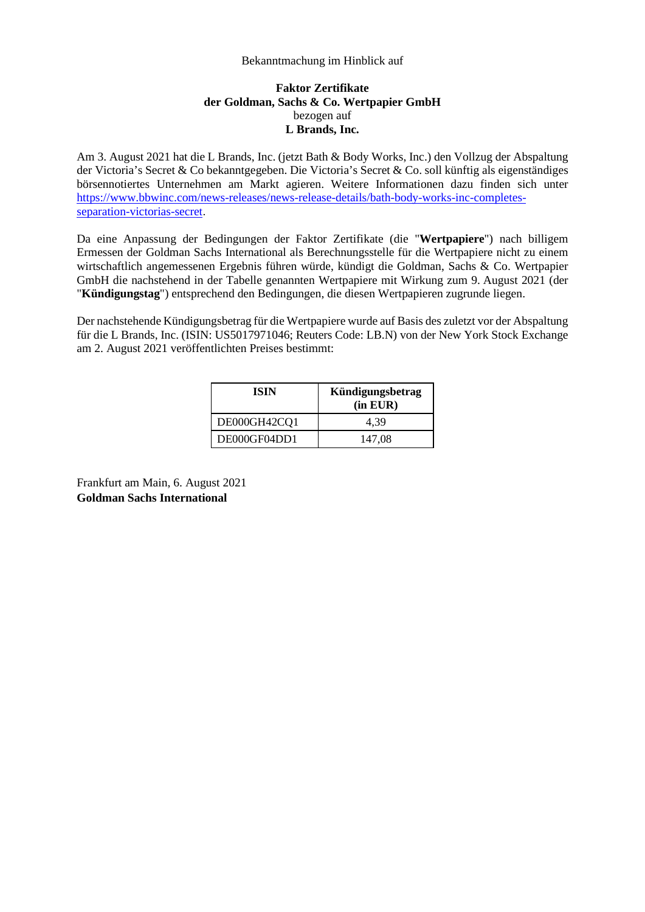## Bekanntmachung im Hinblick auf

## **Faktor Zertifikate der Goldman, Sachs & Co. Wertpapier GmbH**  bezogen auf **L Brands, Inc.**

Am 3. August 2021 hat die L Brands, Inc. (jetzt Bath & Body Works, Inc.) den Vollzug der Abspaltung der Victoria's Secret & Co bekanntgegeben. Die Victoria's Secret & Co. soll künftig als eigenständiges börsennotiertes Unternehmen am Markt agieren. Weitere Informationen dazu finden sich unter [https://www.bbwinc.com/news-releases/news-release-details/bath-body-works-inc-completes](https://www.bbwinc.com/news-releases/news-release-details/bath-body-works-inc-completes-separation-victorias-secret)[separation-victorias-secret](https://www.bbwinc.com/news-releases/news-release-details/bath-body-works-inc-completes-separation-victorias-secret).

Da eine Anpassung der Bedingungen der Faktor Zertifikate (die "**Wertpapiere**") nach billigem Ermessen der Goldman Sachs International als Berechnungsstelle für die Wertpapiere nicht zu einem wirtschaftlich angemessenen Ergebnis führen würde, kündigt die Goldman, Sachs & Co. Wertpapier GmbH die nachstehend in der Tabelle genannten Wertpapiere mit Wirkung zum 9. August 2021 (der "**Kündigungstag**") entsprechend den Bedingungen, die diesen Wertpapieren zugrunde liegen.

Der nachstehende Kündigungsbetrag für die Wertpapiere wurde auf Basis des zuletzt vor der Abspaltung für die L Brands, Inc. (ISIN: US5017971046; Reuters Code: LB.N) von der New York Stock Exchange am 2. August 2021 veröffentlichten Preises bestimmt:

| ISIN         | Kündigungsbetrag<br>$(in$ EUR $)$ |
|--------------|-----------------------------------|
| DE000GH42CQ1 | 4.39                              |
| DE000GF04DD1 | 147,08                            |

Frankfurt am Main, 6. August 2021 **Goldman Sachs International**